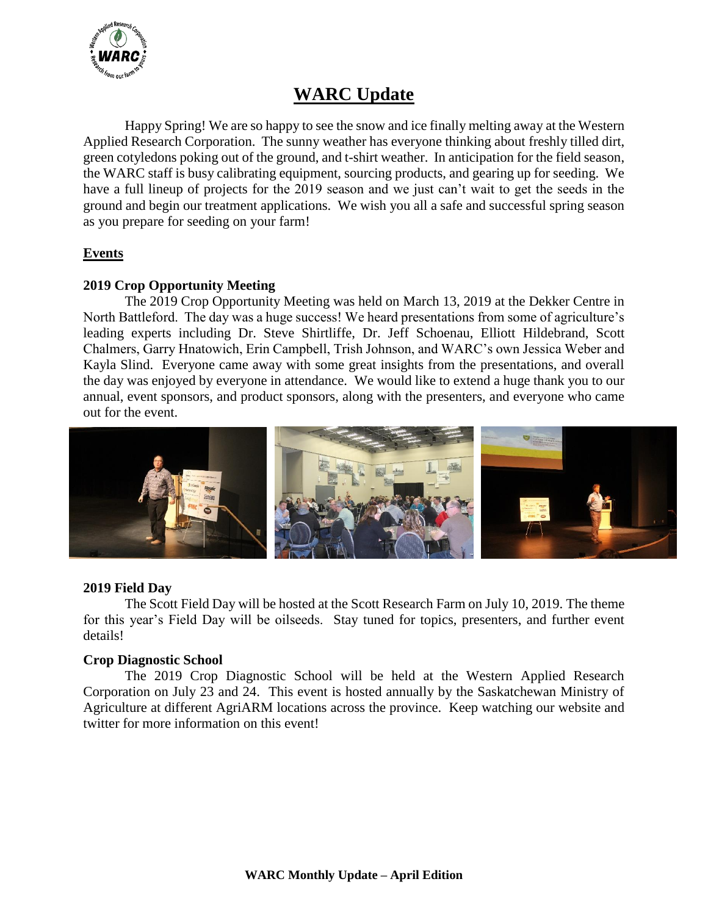

# **WARC Update**

Happy Spring! We are so happy to see the snow and ice finally melting away at the Western Applied Research Corporation. The sunny weather has everyone thinking about freshly tilled dirt, green cotyledons poking out of the ground, and t-shirt weather. In anticipation for the field season, the WARC staff is busy calibrating equipment, sourcing products, and gearing up for seeding. We have a full lineup of projects for the 2019 season and we just can't wait to get the seeds in the ground and begin our treatment applications. We wish you all a safe and successful spring season as you prepare for seeding on your farm!

# **Events**

# **2019 Crop Opportunity Meeting**

The 2019 Crop Opportunity Meeting was held on March 13, 2019 at the Dekker Centre in North Battleford. The day was a huge success! We heard presentations from some of agriculture's leading experts including Dr. Steve Shirtliffe, Dr. Jeff Schoenau, Elliott Hildebrand, Scott Chalmers, Garry Hnatowich, Erin Campbell, Trish Johnson, and WARC's own Jessica Weber and Kayla Slind. Everyone came away with some great insights from the presentations, and overall the day was enjoyed by everyone in attendance. We would like to extend a huge thank you to our annual, event sponsors, and product sponsors, along with the presenters, and everyone who came out for the event.



### **2019 Field Day**

The Scott Field Day will be hosted at the Scott Research Farm on July 10, 2019. The theme for this year's Field Day will be oilseeds. Stay tuned for topics, presenters, and further event details!

### **Crop Diagnostic School**

The 2019 Crop Diagnostic School will be held at the Western Applied Research Corporation on July 23 and 24. This event is hosted annually by the Saskatchewan Ministry of Agriculture at different AgriARM locations across the province. Keep watching our website and twitter for more information on this event!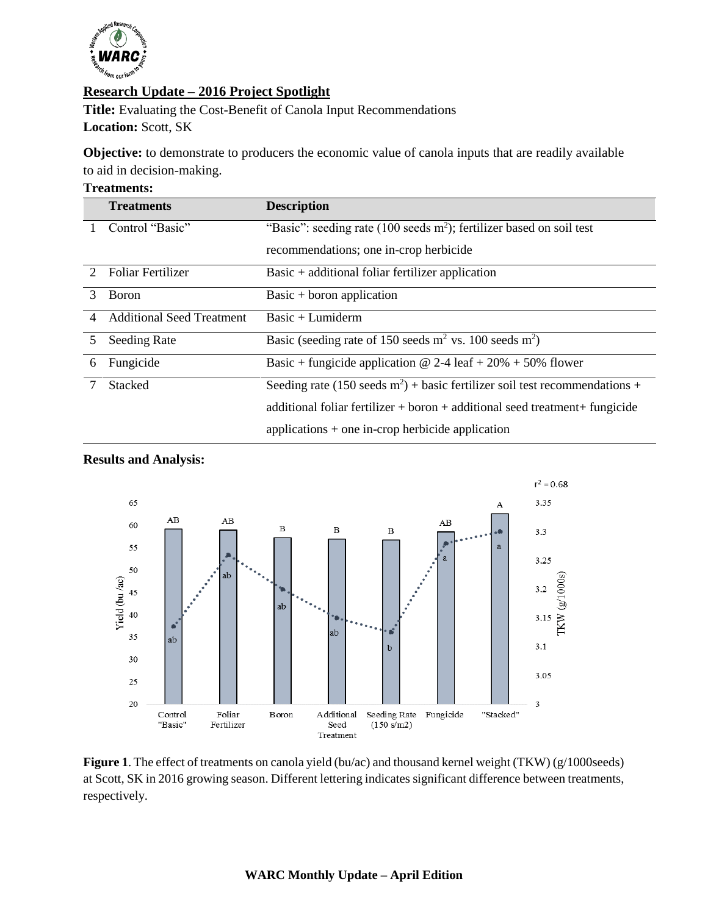

# **Research Update – 2016 Project Spotlight**

**Title:** Evaluating the Cost-Benefit of Canola Input Recommendations **Location:** Scott, SK

**Objective:** to demonstrate to producers the economic value of canola inputs that are readily available to aid in decision-making.

#### **Treatments:**

|               | <b>Treatments</b>                | <b>Description</b>                                                             |
|---------------|----------------------------------|--------------------------------------------------------------------------------|
|               | Control "Basic"                  | "Basic": seeding rate (100 seeds $m^2$ ); fertilizer based on soil test        |
|               |                                  | recommendations; one in-crop herbicide                                         |
| $\mathcal{D}$ | <b>Foliar Fertilizer</b>         | $Basic + additional foliar fertilizer application$                             |
| 3             | <b>B</b> oron                    | Basic + boron application                                                      |
| 4             | <b>Additional Seed Treatment</b> | $Basic + Lumiderm$                                                             |
| 5             | <b>Seeding Rate</b>              | Basic (seeding rate of 150 seeds $m^2$ vs. 100 seeds $m^2$ )                   |
| 6             | Fungicide                        | Basic + fungicide application $\omega$ 2-4 leaf + 20% + 50% flower             |
|               | <b>Stacked</b>                   | Seeding rate (150 seeds $m^2$ ) + basic fertilizer soil test recommendations + |
|               |                                  | additional foliar fertilizer + boron + additional seed treatment + fungicide   |
|               |                                  | applications $+$ one in-crop herbicide application                             |



### **Results and Analysis:**

Figure 1. The effect of treatments on canola yield (bu/ac) and thousand kernel weight (TKW) (g/1000seeds) at Scott, SK in 2016 growing season. Different lettering indicates significant difference between treatments, respectively.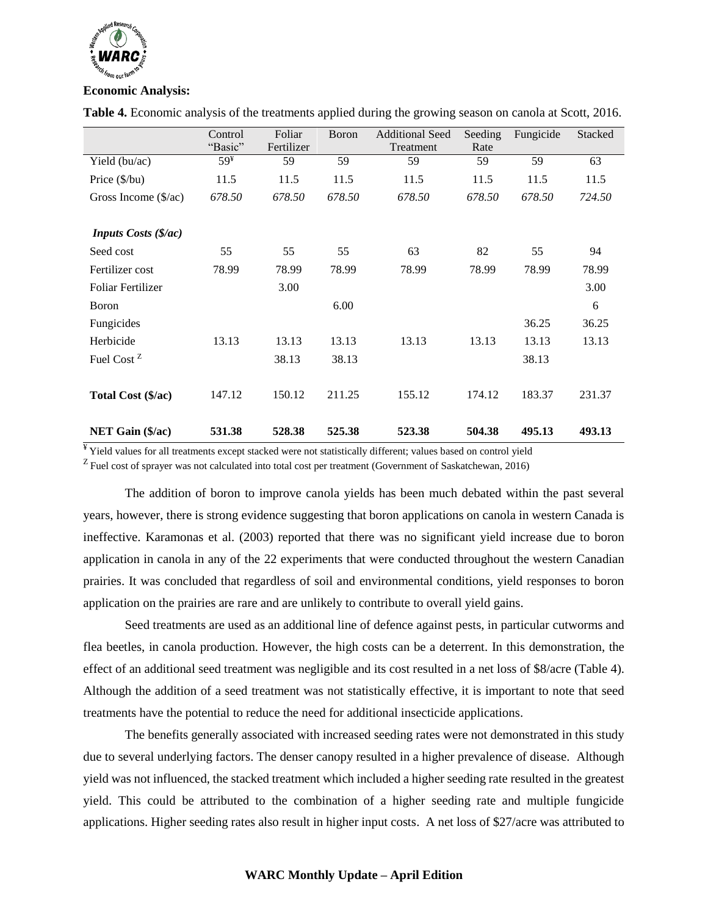

#### **Economic Analysis:**

|                               | Control         | Foliar     | Boron  | <b>Additional Seed</b> | Seeding | Fungicide | <b>Stacked</b> |
|-------------------------------|-----------------|------------|--------|------------------------|---------|-----------|----------------|
|                               | "Basic"         | Fertilizer |        | Treatment              | Rate    |           |                |
| Yield (bu/ac)                 | 59 <sup>Y</sup> | 59         | 59     | 59                     | 59      | 59        | 63             |
| Price $(\frac{6}{bu})$        | 11.5            | 11.5       | 11.5   | 11.5                   | 11.5    | 11.5      | 11.5           |
| Gross Income $(\frac{5}{ac})$ | 678.50          | 678.50     | 678.50 | 678.50                 | 678.50  | 678.50    | 724.50         |
|                               |                 |            |        |                        |         |           |                |
| <b>Inputs Costs (\$/ac)</b>   |                 |            |        |                        |         |           |                |
| Seed cost                     | 55              | 55         | 55     | 63                     | 82      | 55        | 94             |
| Fertilizer cost               | 78.99           | 78.99      | 78.99  | 78.99                  | 78.99   | 78.99     | 78.99          |
| <b>Foliar Fertilizer</b>      |                 | 3.00       |        |                        |         |           | 3.00           |
| <b>B</b> oron                 |                 |            | 6.00   |                        |         |           | 6              |
| Fungicides                    |                 |            |        |                        |         | 36.25     | 36.25          |
| Herbicide                     | 13.13           | 13.13      | 13.13  | 13.13                  | 13.13   | 13.13     | 13.13          |
| Fuel Cost <sup>Z</sup>        |                 | 38.13      | 38.13  |                        |         | 38.13     |                |
|                               |                 |            |        |                        |         |           |                |
| Total Cost (\$/ac)            | 147.12          | 150.12     | 211.25 | 155.12                 | 174.12  | 183.37    | 231.37         |
|                               |                 |            |        |                        |         |           |                |
| NET Gain (\$/ac)              | 531.38          | 528.38     | 525.38 | 523.38                 | 504.38  | 495.13    | 493.13         |

**Table 4.** Economic analysis of the treatments applied during the growing season on canola at Scott, 2016.

¥ Yield values for all treatments except stacked were not statistically different; values based on control yield

 $Z$  Fuel cost of sprayer was not calculated into total cost per treatment (Government of Saskatchewan, 2016)

The addition of boron to improve canola yields has been much debated within the past several years, however, there is strong evidence suggesting that boron applications on canola in western Canada is ineffective. Karamonas et al. (2003) reported that there was no significant yield increase due to boron application in canola in any of the 22 experiments that were conducted throughout the western Canadian prairies. It was concluded that regardless of soil and environmental conditions, yield responses to boron application on the prairies are rare and are unlikely to contribute to overall yield gains.

Seed treatments are used as an additional line of defence against pests, in particular cutworms and flea beetles, in canola production. However, the high costs can be a deterrent. In this demonstration, the effect of an additional seed treatment was negligible and its cost resulted in a net loss of \$8/acre (Table 4). Although the addition of a seed treatment was not statistically effective, it is important to note that seed treatments have the potential to reduce the need for additional insecticide applications.

The benefits generally associated with increased seeding rates were not demonstrated in this study due to several underlying factors. The denser canopy resulted in a higher prevalence of disease. Although yield was not influenced, the stacked treatment which included a higher seeding rate resulted in the greatest yield. This could be attributed to the combination of a higher seeding rate and multiple fungicide applications. Higher seeding rates also result in higher input costs. A net loss of \$27/acre was attributed to